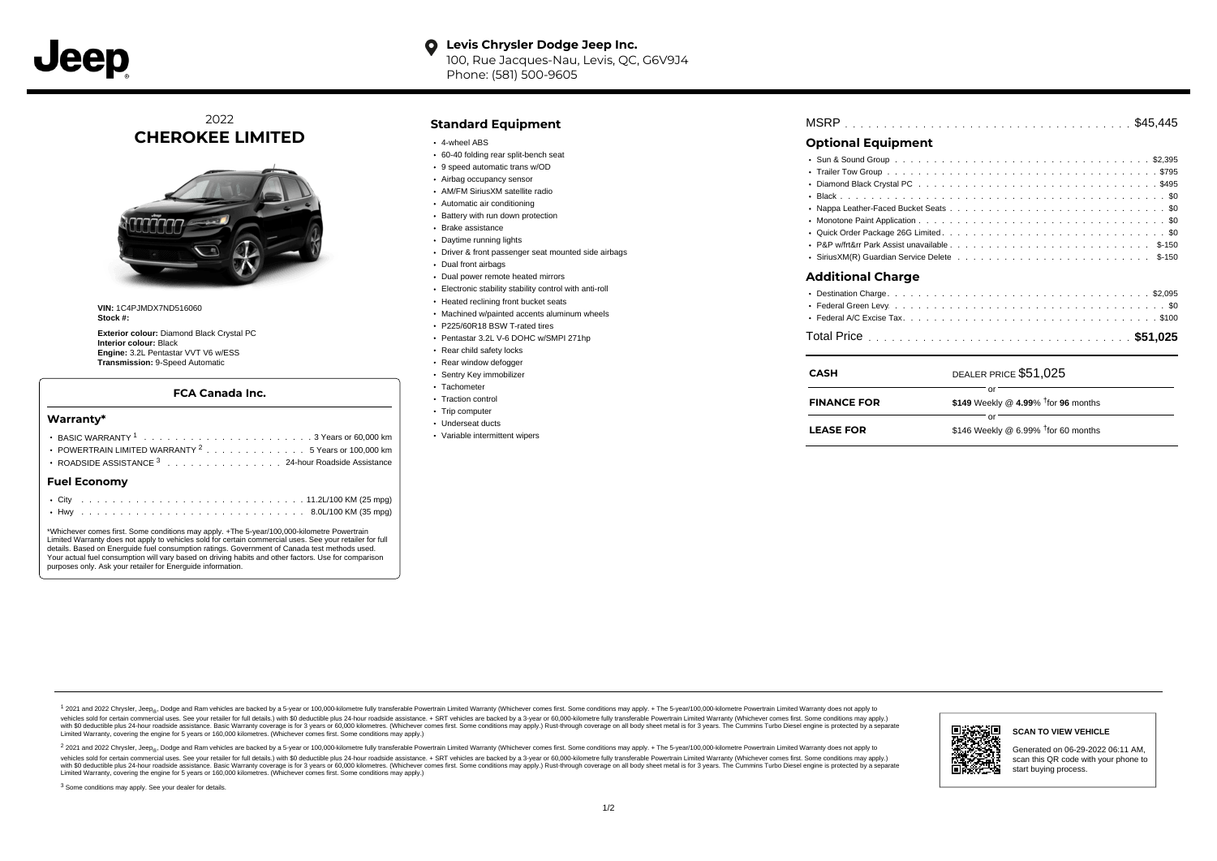**Levis Chrysler Dodge Jeep Inc.**  $\bullet$ 100, Rue Jacques-Nau, Levis, QC, G6V9J4 Phone: (581) 500-9605

2022 **CHEROKEE LIMITED**



**VIN:** 1C4PJMDX7ND516060 **Stock #:**

**Exterior colour:** Diamond Black Crystal PC **Interior colour:** Black **Engine:** 3.2L Pentastar VVT V6 w/ESS **Transmission:** 9-Speed Automatic

# **FCA Canada Inc.**

### **Warranty\***

| POWERTRAIN LIMITED WARRANTY <sup>2</sup> 5 Years or 100,000 km |  |  |  |  |  |  |  |  |  |  |  |  |  |  |  |  |  |  |  |
|----------------------------------------------------------------|--|--|--|--|--|--|--|--|--|--|--|--|--|--|--|--|--|--|--|
| ROADSIDE ASSISTANCE 3 24-hour Roadside Assistance              |  |  |  |  |  |  |  |  |  |  |  |  |  |  |  |  |  |  |  |
| Fuel Economv                                                   |  |  |  |  |  |  |  |  |  |  |  |  |  |  |  |  |  |  |  |
|                                                                |  |  |  |  |  |  |  |  |  |  |  |  |  |  |  |  |  |  |  |
|                                                                |  |  |  |  |  |  |  |  |  |  |  |  |  |  |  |  |  |  |  |

\*Whichever comes first. Some conditions may apply. +The 5-year/100,000-kilometre Powertrain Limited Warranty does not apply to vehicles sold for certain commercial uses. See your retailer for full details. Based on Energuide fuel consumption ratings. Government of Canada test methods used. Your actual fuel consumption will vary based on driving habits and other factors. Use for comparison purposes only. Ask your retailer for Energuide information.

# **Standard Equipment**

- 4-wheel ABS
- 60-40 folding rear split-bench seat
- 9 speed automatic trans w/OD
- Airbag occupancy sensor
- AM/FM SiriusXM satellite radio
- Automatic air conditioning
- Battery with run down protection Brake assistance
- Daytime running lights
- Driver & front passenger seat mounted side airbags
- 
- Dual front airbags
- Dual power remote heated mirrors
- Electronic stability stability control with anti-roll • Heated reclining front bucket seats
- 
- Machined w/painted accents aluminum wheels P225/60R18 BSW T-rated tires
- 
- Pentastar 3.2L V-6 DOHC w/SMPI 271hp Rear child safety locks
- 
- Rear window defogger Sentry Key immobilizer
- Tachometer
- Traction control
- Trip computer
- Underseat ducts
- Variable intermittent wipers

| <b>Optional Equipment</b> |  |
|---------------------------|--|
|                           |  |
|                           |  |
|                           |  |
|                           |  |
|                           |  |
|                           |  |
|                           |  |
|                           |  |
|                           |  |
| Additional Charge         |  |
|                           |  |

. . . . . . . . . . . . . . . . . . . . . . . . . . . . . . . . . . . . . . . . . . . . . . MSRP \$45,445

| CASH               | DEALER PRICE \$51,025                            |
|--------------------|--------------------------------------------------|
| <b>FINANCE FOR</b> | \$149 Weekly @ 4.99% $\frac{1}{1}$ for 96 months |
| <b>LEASE FOR</b>   | \$146 Weekly @ 6.99% $†$ for 60 months           |

1 2021 and 2022 Chrysler, Jeep<sub>er</sub>, Dodge and Ram vehicles are backed by a 5-year or 100,000-kilometre fully transferable Powertrain Limited Warranty (Whichever comes first. Some conditions may apply. + The 5-year/100,000vehicles sold for certain commercial uses. See your retailer for full details.) with \$0 deductible plus 24 hour roadside assistance. + SRT vehicles are backed by a 3-year or 60,000-kilometre fully transferable Powertrain L versus and contract the mean of the contract of the contract with a contract with a contract the contract of the search of the contract and a control of the contract and contract and control of the search of the search of Limited Warranty, covering the engine for 5 years or 160,000 kilometres. (Whichever comes first. Some conditions may apply.)

2 2021 and 2022 Chrysler, Jeep<sub>e»</sub> Dodge and Ram vehicles are backed by a 5-year or 100,000-kilometre fully transferable Powertrain Limited Warranty (Whichever comes first. Some conditions may apply. + The 5-year/100,000-k vehicles sold for certain commercial uses. See your retailer for full details.) with SO deductible plus 24-hour roadside assistance. + SRT vehicles are backed by a 3-year or 60.000-kilometre fully transferable Powertrain L with S0 deductible plus 24-hour roadside assistance. Basic Warranty coverage is for 3 years or 60,000 kilometres. (Whichever comes first. Some conditions may apply.) Rust-through coverage on all body sheet metal is for 3 y



### **SCAN TO VIEW VEHICLE**

Generated on 06-29-2022 06:11 AM, scan this QR code with your phone to start buying process.

<sup>3</sup> Some conditions may apply. See your dealer for details.